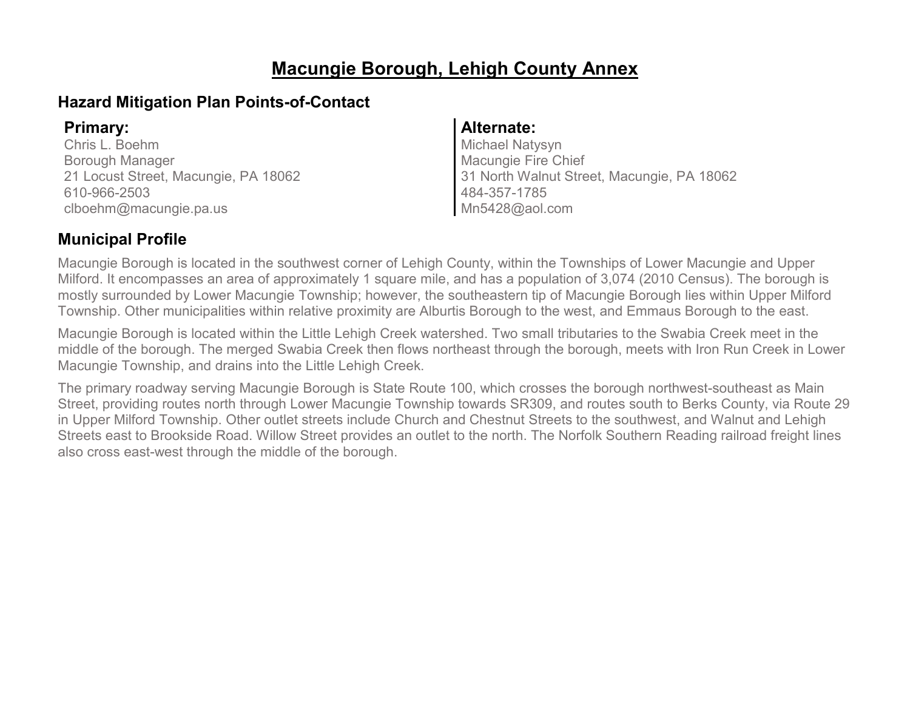# **Macungie Borough, Lehigh County Annex**

### **Hazard Mitigation Plan Points-of-Contact**

Chris L. Boehm Borough Manager 21 Locust Street, Macungie, PA 18062 610-966-2503 clboehm@macungie.pa.us

### **Primary: Alternate:**

Michael Natysyn Macungie Fire Chief 31 North Walnut Street, Macungie, PA 18062 484-357-1785 Mn5428@aol.com

### **Municipal Profile**

Macungie Borough is located in the southwest corner of Lehigh County, within the Townships of Lower Macungie and Upper Milford. It encompasses an area of approximately 1 square mile, and has a population of 3,074 (2010 Census). The borough is mostly surrounded by Lower Macungie Township; however, the southeastern tip of Macungie Borough lies within Upper Milford Township. Other municipalities within relative proximity are Alburtis Borough to the west, and Emmaus Borough to the east.

Macungie Borough is located within the Little Lehigh Creek watershed. Two small tributaries to the Swabia Creek meet in the middle of the borough. The merged Swabia Creek then flows northeast through the borough, meets with Iron Run Creek in Lower Macungie Township, and drains into the Little Lehigh Creek.

The primary roadway serving Macungie Borough is State Route 100, which crosses the borough northwest-southeast as Main Street, providing routes north through Lower Macungie Township towards SR309, and routes south to Berks County, via Route 29 in Upper Milford Township. Other outlet streets include Church and Chestnut Streets to the southwest, and Walnut and Lehigh Streets east to Brookside Road. Willow Street provides an outlet to the north. The Norfolk Southern Reading railroad freight lines also cross east-west through the middle of the borough.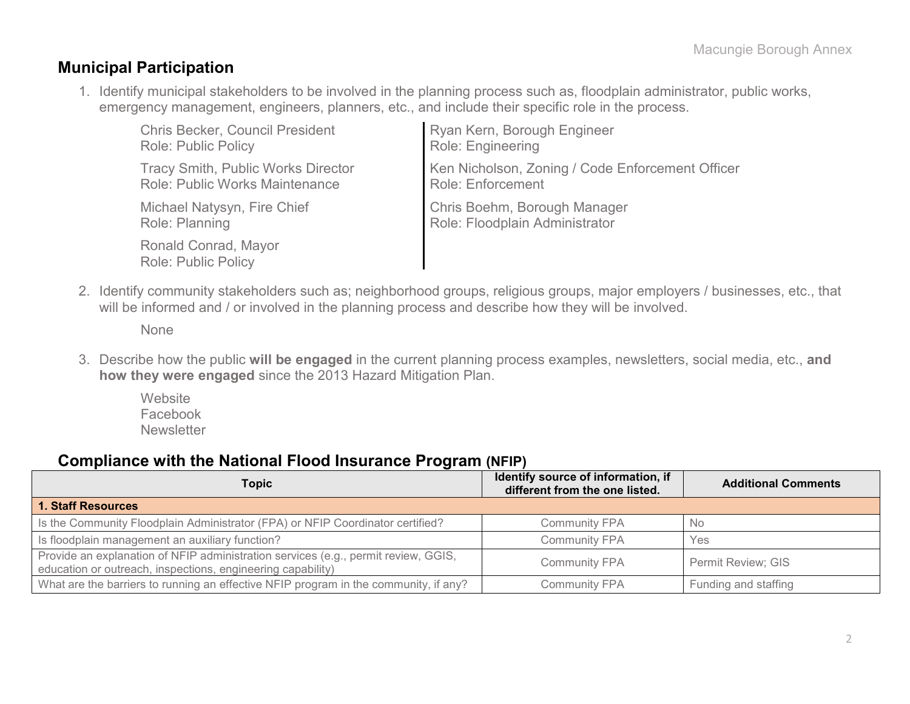### **Municipal Participation**

1. Identify municipal stakeholders to be involved in the planning process such as, floodplain administrator, public works, emergency management, engineers, planners, etc., and include their specific role in the process.

| <b>Chris Becker, Council President</b>             | Ryan Kern, Borough Engineer                      |
|----------------------------------------------------|--------------------------------------------------|
| <b>Role: Public Policy</b>                         | Role: Engineering                                |
| <b>Tracy Smith, Public Works Director</b>          | Ken Nicholson, Zoning / Code Enforcement Officer |
| <b>Role: Public Works Maintenance</b>              | <b>Role: Enforcement</b>                         |
| Michael Natysyn, Fire Chief                        | Chris Boehm, Borough Manager                     |
| Role: Planning                                     | Role: Floodplain Administrator                   |
| Ronald Conrad, Mayor<br><b>Role: Public Policy</b> |                                                  |

2. Identify community stakeholders such as; neighborhood groups, religious groups, major employers / businesses, etc., that will be informed and / or involved in the planning process and describe how they will be involved.

None

3. Describe how the public **will be engaged** in the current planning process examples, newsletters, social media, etc., **and how they were engaged** since the 2013 Hazard Mitigation Plan.

**Website** Facebook **Newsletter** 

#### **Compliance with the National Flood Insurance Program (NFIP)**

| Topic                                                                                                                                             | Identify source of information, if<br>different from the one listed. | <b>Additional Comments</b> |
|---------------------------------------------------------------------------------------------------------------------------------------------------|----------------------------------------------------------------------|----------------------------|
| <b>1. Staff Resources</b>                                                                                                                         |                                                                      |                            |
| Is the Community Floodplain Administrator (FPA) or NFIP Coordinator certified?                                                                    | <b>Community FPA</b>                                                 | - No                       |
| Is floodplain management an auxiliary function?                                                                                                   | <b>Community FPA</b>                                                 | Yes                        |
| Provide an explanation of NFIP administration services (e.g., permit review, GGIS,<br>education or outreach, inspections, engineering capability) | <b>Community FPA</b>                                                 | Permit Review; GIS         |
| What are the barriers to running an effective NFIP program in the community, if any?                                                              | <b>Community FPA</b>                                                 | Funding and staffing       |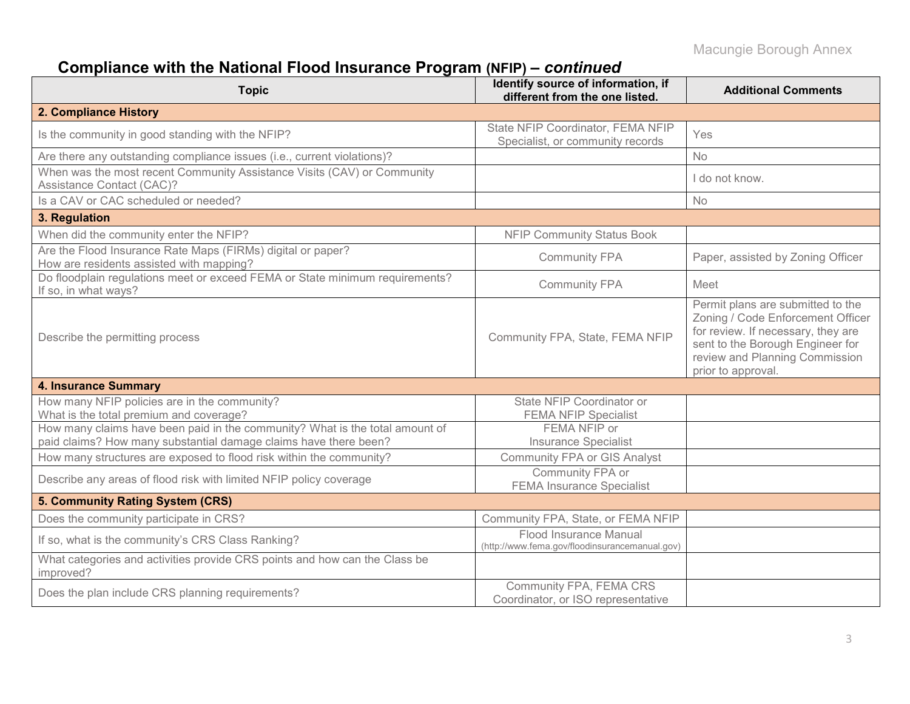# **Compliance with the National Flood Insurance Program (NFIP) –** *continued*

| <b>Topic</b>                                                                                                                                     | Identify source of information, if<br>different from the one listed.     | <b>Additional Comments</b>                                                                                                                                                                               |
|--------------------------------------------------------------------------------------------------------------------------------------------------|--------------------------------------------------------------------------|----------------------------------------------------------------------------------------------------------------------------------------------------------------------------------------------------------|
| 2. Compliance History                                                                                                                            |                                                                          |                                                                                                                                                                                                          |
| Is the community in good standing with the NFIP?                                                                                                 | State NFIP Coordinator, FEMA NFIP<br>Specialist, or community records    | Yes                                                                                                                                                                                                      |
| Are there any outstanding compliance issues (i.e., current violations)?                                                                          |                                                                          | No                                                                                                                                                                                                       |
| When was the most recent Community Assistance Visits (CAV) or Community<br>Assistance Contact (CAC)?                                             |                                                                          | I do not know.                                                                                                                                                                                           |
| Is a CAV or CAC scheduled or needed?                                                                                                             |                                                                          | No                                                                                                                                                                                                       |
| 3. Regulation                                                                                                                                    |                                                                          |                                                                                                                                                                                                          |
| When did the community enter the NFIP?                                                                                                           | <b>NFIP Community Status Book</b>                                        |                                                                                                                                                                                                          |
| Are the Flood Insurance Rate Maps (FIRMs) digital or paper?<br>How are residents assisted with mapping?                                          | <b>Community FPA</b>                                                     | Paper, assisted by Zoning Officer                                                                                                                                                                        |
| Do floodplain regulations meet or exceed FEMA or State minimum requirements?<br>If so, in what ways?                                             | <b>Community FPA</b>                                                     | Meet                                                                                                                                                                                                     |
| Describe the permitting process                                                                                                                  | Community FPA, State, FEMA NFIP                                          | Permit plans are submitted to the<br>Zoning / Code Enforcement Officer<br>for review. If necessary, they are<br>sent to the Borough Engineer for<br>review and Planning Commission<br>prior to approval. |
| <b>4. Insurance Summary</b>                                                                                                                      |                                                                          |                                                                                                                                                                                                          |
| How many NFIP policies are in the community?<br>What is the total premium and coverage?                                                          | State NFIP Coordinator or<br><b>FEMA NFIP Specialist</b>                 |                                                                                                                                                                                                          |
| How many claims have been paid in the community? What is the total amount of<br>paid claims? How many substantial damage claims have there been? | FEMA NFIP or<br><b>Insurance Specialist</b>                              |                                                                                                                                                                                                          |
| How many structures are exposed to flood risk within the community?                                                                              | <b>Community FPA or GIS Analyst</b>                                      |                                                                                                                                                                                                          |
| Describe any areas of flood risk with limited NFIP policy coverage                                                                               | Community FPA or<br><b>FEMA Insurance Specialist</b>                     |                                                                                                                                                                                                          |
| 5. Community Rating System (CRS)                                                                                                                 |                                                                          |                                                                                                                                                                                                          |
| Does the community participate in CRS?                                                                                                           | Community FPA, State, or FEMA NFIP                                       |                                                                                                                                                                                                          |
| If so, what is the community's CRS Class Ranking?                                                                                                | Flood Insurance Manual<br>(http://www.fema.gov/floodinsurancemanual.gov) |                                                                                                                                                                                                          |
| What categories and activities provide CRS points and how can the Class be<br>improved?                                                          |                                                                          |                                                                                                                                                                                                          |
| Does the plan include CRS planning requirements?                                                                                                 | Community FPA, FEMA CRS<br>Coordinator, or ISO representative            |                                                                                                                                                                                                          |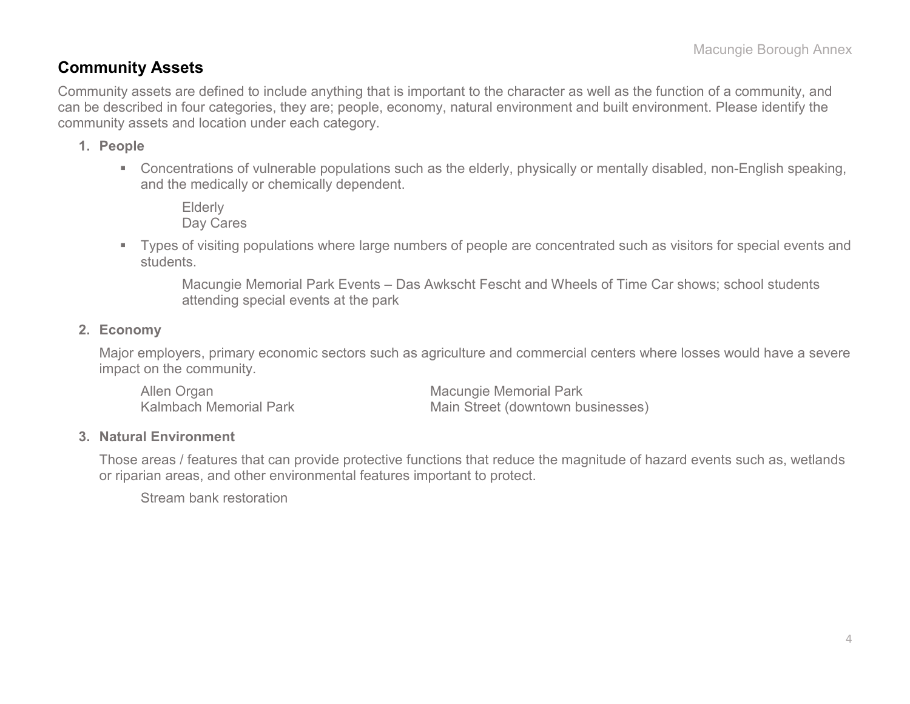### **Community Assets**

Community assets are defined to include anything that is important to the character as well as the function of a community, and can be described in four categories, they are; people, economy, natural environment and built environment. Please identify the community assets and location under each category.

#### **1. People**

 Concentrations of vulnerable populations such as the elderly, physically or mentally disabled, non-English speaking, and the medically or chemically dependent.

Elderly Day Cares

 Types of visiting populations where large numbers of people are concentrated such as visitors for special events and students.

Macungie Memorial Park Events – Das Awkscht Fescht and Wheels of Time Car shows; school students attending special events at the park

#### **2. Economy**

Major employers, primary economic sectors such as agriculture and commercial centers where losses would have a severe impact on the community.

Allen Organ Macungie Memorial Park<br>Kalmbach Memorial Park Macungie Memorial Park Main Street (downtown businesses)

#### **3. Natural Environment**

Those areas / features that can provide protective functions that reduce the magnitude of hazard events such as, wetlands or riparian areas, and other environmental features important to protect.

Stream bank restoration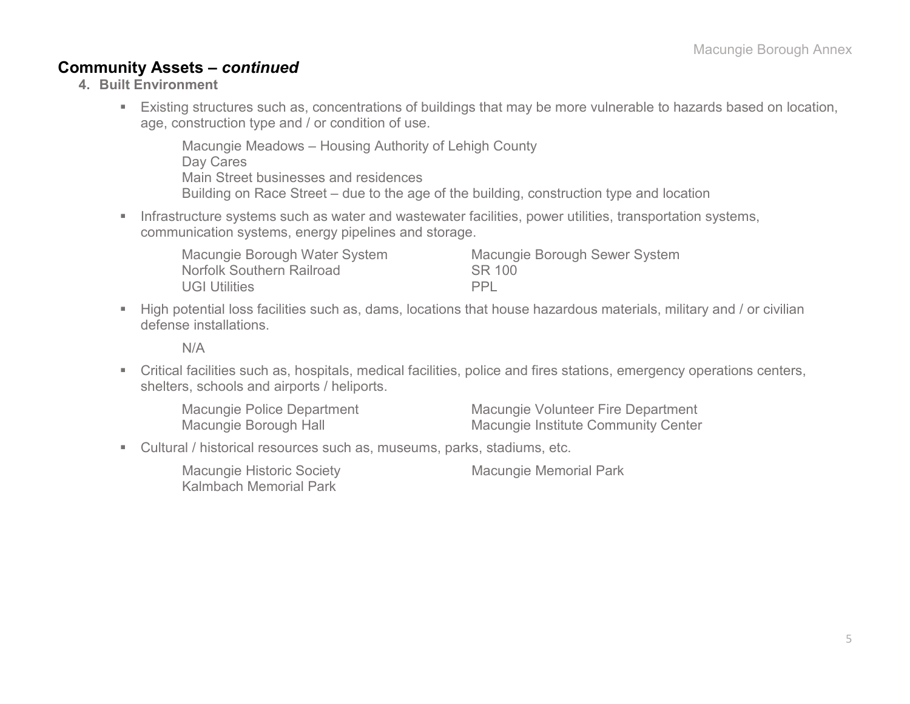### **Community Assets –** *continued*

- **4. Built Environment**
	- Existing structures such as, concentrations of buildings that may be more vulnerable to hazards based on location, age, construction type and / or condition of use.

Macungie Meadows – Housing Authority of Lehigh County Day Cares Main Street businesses and residences Building on Race Street – due to the age of the building, construction type and location

**Infrastructure systems such as water and wastewater facilities, power utilities, transportation systems,** communication systems, energy pipelines and storage.

| Macungie Borough Water System | <b>Macungie Borough Sewer System</b> |
|-------------------------------|--------------------------------------|
| Norfolk Southern Railroad     | SR 100                               |
| <b>UGI Utilities</b>          | <b>PPI</b>                           |

High potential loss facilities such as, dams, locations that house hazardous materials, military and / or civilian defense installations.

N/A

 Critical facilities such as, hospitals, medical facilities, police and fires stations, emergency operations centers, shelters, schools and airports / heliports.

| Macungie Police Department | Macungie Volunteer Fire Department         |
|----------------------------|--------------------------------------------|
| Macungie Borough Hall      | <b>Macungie Institute Community Center</b> |

Cultural / historical resources such as, museums, parks, stadiums, etc.

| <b>Macungie Historic Society</b> |  |
|----------------------------------|--|
| <b>Kalmbach Memorial Park</b>    |  |

Macungie Memorial Park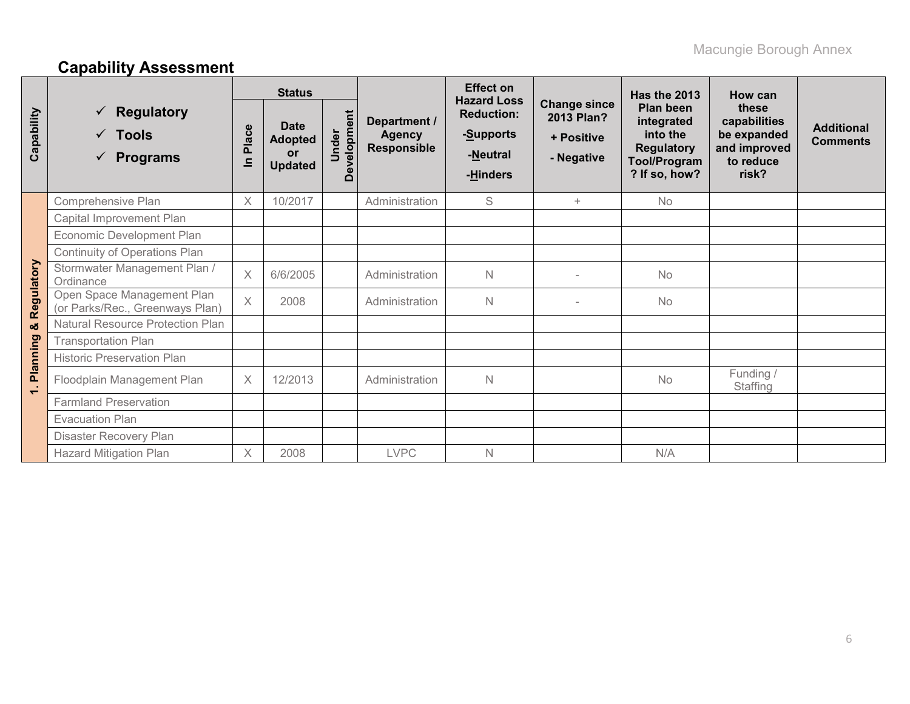# **Capability Assessment**

|            |                                                                                      | <b>Status</b>         |                                                              |                                  |                                                     | <b>Effect on</b>                                                             |                                                               | <b>Has the 2013</b>                                                                              | How can                                                                    |                                      |
|------------|--------------------------------------------------------------------------------------|-----------------------|--------------------------------------------------------------|----------------------------------|-----------------------------------------------------|------------------------------------------------------------------------------|---------------------------------------------------------------|--------------------------------------------------------------------------------------------------|----------------------------------------------------------------------------|--------------------------------------|
| Capability | <b>Regulatory</b><br><b>Tools</b><br>$\checkmark$<br><b>Programs</b><br>$\checkmark$ | Place<br>$\mathbf{C}$ | <b>Date</b><br><b>Adopted</b><br><b>or</b><br><b>Updated</b> | ent<br>mdolava<br>nder<br>⊃<br>Ă | Department /<br><b>Agency</b><br><b>Responsible</b> | <b>Hazard Loss</b><br><b>Reduction:</b><br>-Supports<br>-Neutral<br>-Hinders | <b>Change since</b><br>2013 Plan?<br>+ Positive<br>- Negative | Plan been<br>integrated<br>into the<br><b>Regulatory</b><br><b>Tool/Program</b><br>? If so, how? | these<br>capabilities<br>be expanded<br>and improved<br>to reduce<br>risk? | <b>Additional</b><br><b>Comments</b> |
|            | Comprehensive Plan                                                                   | $\boldsymbol{\times}$ | 10/2017                                                      |                                  | Administration                                      | S                                                                            | $+$                                                           | No                                                                                               |                                                                            |                                      |
|            | Capital Improvement Plan                                                             |                       |                                                              |                                  |                                                     |                                                                              |                                                               |                                                                                                  |                                                                            |                                      |
|            | Economic Development Plan                                                            |                       |                                                              |                                  |                                                     |                                                                              |                                                               |                                                                                                  |                                                                            |                                      |
|            | <b>Continuity of Operations Plan</b>                                                 |                       |                                                              |                                  |                                                     |                                                                              |                                                               |                                                                                                  |                                                                            |                                      |
|            | Stormwater Management Plan /<br>Ordinance                                            | $\times$              | 6/6/2005                                                     |                                  | Administration                                      | $\mathsf{N}$                                                                 |                                                               | <b>No</b>                                                                                        |                                                                            |                                      |
| Regulatory | Open Space Management Plan<br>(or Parks/Rec., Greenways Plan)                        | $\times$              | 2008                                                         |                                  | Administration                                      | N                                                                            |                                                               | No                                                                                               |                                                                            |                                      |
| න්         | Natural Resource Protection Plan                                                     |                       |                                                              |                                  |                                                     |                                                                              |                                                               |                                                                                                  |                                                                            |                                      |
|            | <b>Transportation Plan</b>                                                           |                       |                                                              |                                  |                                                     |                                                                              |                                                               |                                                                                                  |                                                                            |                                      |
| Planning   | <b>Historic Preservation Plan</b>                                                    |                       |                                                              |                                  |                                                     |                                                                              |                                                               |                                                                                                  |                                                                            |                                      |
| $\div$     | Floodplain Management Plan                                                           | $\times$              | 12/2013                                                      |                                  | Administration                                      | $\mathsf{N}$                                                                 |                                                               | No                                                                                               | Funding /<br>Staffing                                                      |                                      |
|            | <b>Farmland Preservation</b>                                                         |                       |                                                              |                                  |                                                     |                                                                              |                                                               |                                                                                                  |                                                                            |                                      |
|            | <b>Evacuation Plan</b>                                                               |                       |                                                              |                                  |                                                     |                                                                              |                                                               |                                                                                                  |                                                                            |                                      |
|            | Disaster Recovery Plan                                                               |                       |                                                              |                                  |                                                     |                                                                              |                                                               |                                                                                                  |                                                                            |                                      |
|            | <b>Hazard Mitigation Plan</b>                                                        | X                     | 2008                                                         |                                  | <b>LVPC</b>                                         | N                                                                            |                                                               | N/A                                                                                              |                                                                            |                                      |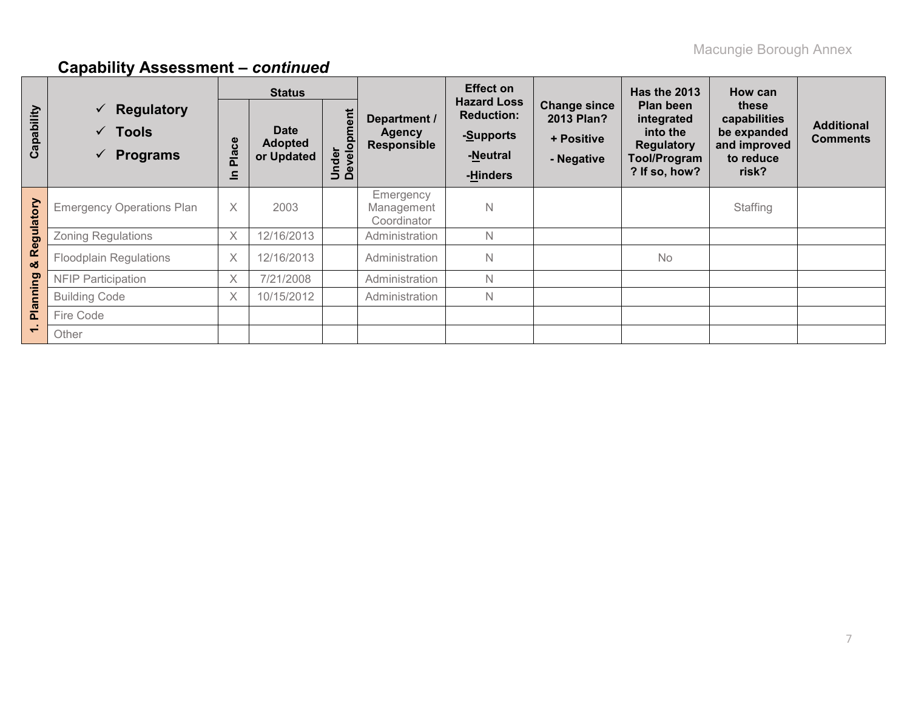|            |                                                                                  |                       | <b>Status</b>                               |                      |                                                     | <b>Effect on</b>                                                             |                                                               | <b>Has the 2013</b>                                                                       | How can                                                                    |                                      |
|------------|----------------------------------------------------------------------------------|-----------------------|---------------------------------------------|----------------------|-----------------------------------------------------|------------------------------------------------------------------------------|---------------------------------------------------------------|-------------------------------------------------------------------------------------------|----------------------------------------------------------------------------|--------------------------------------|
| Capability | $\checkmark$ Regulatory<br>$\checkmark$ Tools<br><b>Programs</b><br>$\checkmark$ | Place<br>$\mathbf{a}$ | <b>Date</b><br><b>Adopted</b><br>or Updated | Under<br>Development | Department /<br><b>Agency</b><br><b>Responsible</b> | <b>Hazard Loss</b><br><b>Reduction:</b><br>-Supports<br>-Neutral<br>-Hinders | <b>Change since</b><br>2013 Plan?<br>+ Positive<br>- Negative | Plan been<br>integrated<br>into the<br><b>Regulatory</b><br>Tool/Program<br>? If so, how? | these<br>capabilities<br>be expanded<br>and improved<br>to reduce<br>risk? | <b>Additional</b><br><b>Comments</b> |
| Regulatory | <b>Emergency Operations Plan</b>                                                 | $\times$              | 2003                                        |                      | Emergency<br>Management<br>Coordinator              | $\mathsf{N}$                                                                 |                                                               |                                                                                           | Staffing                                                                   |                                      |
|            | <b>Zoning Regulations</b>                                                        | $\times$              | 12/16/2013                                  |                      | Administration                                      | $\mathsf{N}$                                                                 |                                                               |                                                                                           |                                                                            |                                      |
| න්         | <b>Floodplain Regulations</b>                                                    | $\times$              | 12/16/2013                                  |                      | Administration                                      | $\mathsf{N}$                                                                 |                                                               | No                                                                                        |                                                                            |                                      |
|            | <b>NFIP Participation</b>                                                        | X                     | 7/21/2008                                   |                      | Administration                                      | $\mathbb N$                                                                  |                                                               |                                                                                           |                                                                            |                                      |
| Planning   | <b>Building Code</b>                                                             | $\times$              | 10/15/2012                                  |                      | Administration                                      | $\mathsf{N}$                                                                 |                                                               |                                                                                           |                                                                            |                                      |
|            | Fire Code                                                                        |                       |                                             |                      |                                                     |                                                                              |                                                               |                                                                                           |                                                                            |                                      |
|            | Other                                                                            |                       |                                             |                      |                                                     |                                                                              |                                                               |                                                                                           |                                                                            |                                      |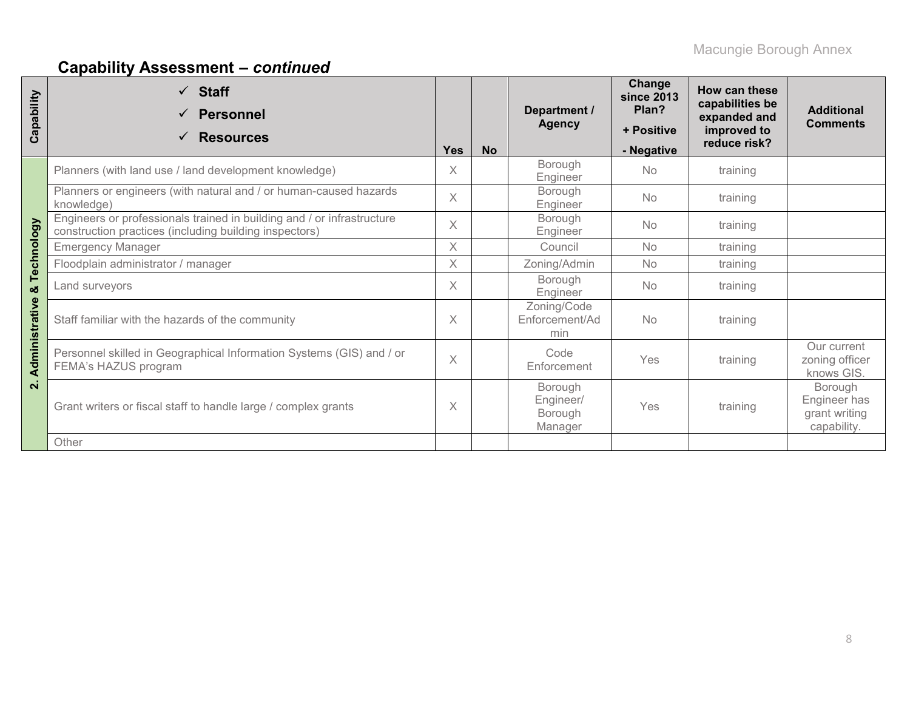| Capability              | $\checkmark$ Staff<br><b>Personnel</b><br><b>Resources</b><br>$\checkmark$                                                       | <b>Yes</b> | <b>No</b> | Department /<br><b>Agency</b>              | Change<br><b>since 2013</b><br>Plan?<br>+ Positive<br>- Negative | How can these<br>capabilities be<br>expanded and<br>improved to<br>reduce risk? | <b>Additional</b><br><b>Comments</b>                    |
|-------------------------|----------------------------------------------------------------------------------------------------------------------------------|------------|-----------|--------------------------------------------|------------------------------------------------------------------|---------------------------------------------------------------------------------|---------------------------------------------------------|
|                         | Planners (with land use / land development knowledge)                                                                            | X          |           | Borough<br>Engineer                        | N <sub>o</sub>                                                   | training                                                                        |                                                         |
|                         | Planners or engineers (with natural and / or human-caused hazards<br>knowledge)                                                  | $\times$   |           | Borough<br>Engineer                        | <b>No</b>                                                        | training                                                                        |                                                         |
| Technology              | Engineers or professionals trained in building and / or infrastructure<br>construction practices (including building inspectors) | $\times$   |           | Borough<br>Engineer                        | <b>No</b>                                                        | training                                                                        |                                                         |
|                         | <b>Emergency Manager</b>                                                                                                         | X          |           | Council                                    | <b>No</b>                                                        | training                                                                        |                                                         |
|                         | Floodplain administrator / manager                                                                                               | $\times$   |           | Zoning/Admin                               | <b>No</b>                                                        | training                                                                        |                                                         |
| ಯ<br>Administrative     | Land surveyors                                                                                                                   | $\times$   |           | Borough<br>Engineer                        | No.                                                              | training                                                                        |                                                         |
|                         | Staff familiar with the hazards of the community                                                                                 | $\times$   |           | Zoning/Code<br>Enforcement/Ad<br>min       | <b>No</b>                                                        | training                                                                        |                                                         |
|                         | Personnel skilled in Geographical Information Systems (GIS) and / or<br>FEMA's HAZUS program                                     | $\times$   |           | Code<br>Enforcement                        | Yes                                                              | training                                                                        | Our current<br>zoning officer<br>knows GIS.             |
| $\overline{\mathbf{N}}$ | Grant writers or fiscal staff to handle large / complex grants                                                                   |            |           | Borough<br>Engineer/<br>Borough<br>Manager | Yes                                                              | training                                                                        | Borough<br>Engineer has<br>grant writing<br>capability. |
|                         | Other                                                                                                                            |            |           |                                            |                                                                  |                                                                                 |                                                         |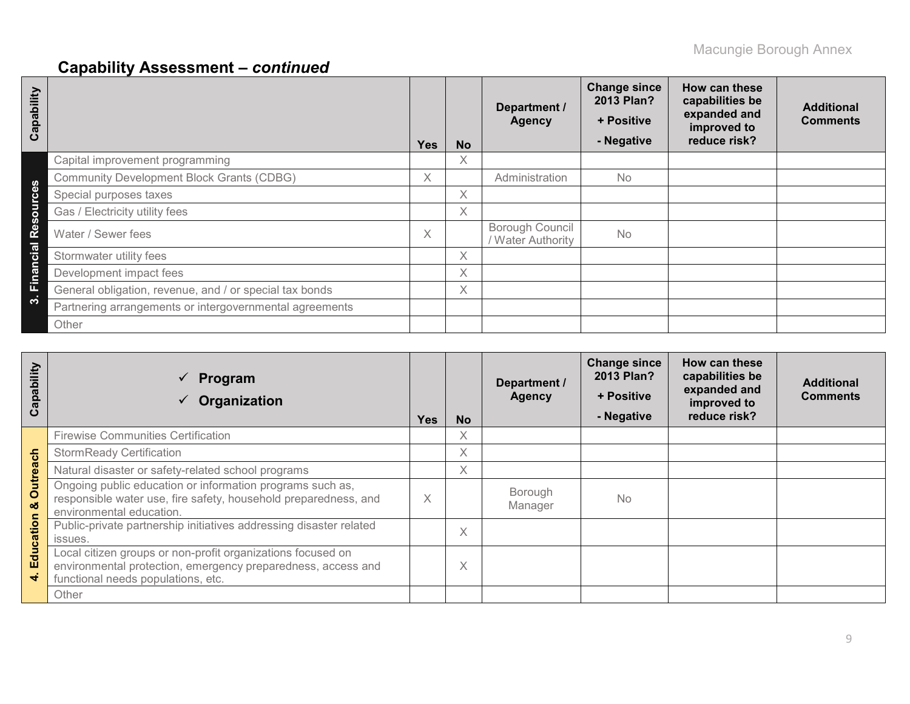| Capability                    |                                                         | <b>Yes</b> | <b>No</b> | Department /<br><b>Agency</b>        | <b>Change since</b><br>2013 Plan?<br>+ Positive<br>- Negative | How can these<br>capabilities be<br>expanded and<br>improved to<br>reduce risk? | <b>Additional</b><br><b>Comments</b> |
|-------------------------------|---------------------------------------------------------|------------|-----------|--------------------------------------|---------------------------------------------------------------|---------------------------------------------------------------------------------|--------------------------------------|
|                               | Capital improvement programming                         |            | X         |                                      |                                                               |                                                                                 |                                      |
| ഗ                             | <b>Community Development Block Grants (CDBG)</b>        | X.         |           | Administration                       | <b>No</b>                                                     |                                                                                 |                                      |
|                               | Special purposes taxes                                  |            | X         |                                      |                                                               |                                                                                 |                                      |
|                               | Gas / Electricity utility fees                          |            | X         |                                      |                                                               |                                                                                 |                                      |
| W<br>ø<br>œ                   | Water / Sewer fees                                      | X.         |           | Borough Council<br>/ Water Authority | <b>No</b>                                                     |                                                                                 |                                      |
| c <sub>i</sub> a <sub>i</sub> | Stormwater utility fees                                 |            | X         |                                      |                                                               |                                                                                 |                                      |
| <b>Eina</b>                   | Development impact fees                                 |            | X         |                                      |                                                               |                                                                                 |                                      |
|                               | General obligation, revenue, and / or special tax bonds |            | X         |                                      |                                                               |                                                                                 |                                      |
| ∾                             | Partnering arrangements or intergovernmental agreements |            |           |                                      |                                                               |                                                                                 |                                      |
|                               | Other                                                   |            |           |                                      |                                                               |                                                                                 |                                      |

| Capability                 | Program<br>$\checkmark$<br>Organization                                                                                                                           | <b>Yes</b> | <b>No</b> | Department /<br><b>Agency</b> | <b>Change since</b><br>2013 Plan?<br>+ Positive<br>- Negative | How can these<br>capabilities be<br>expanded and<br>improved to<br>reduce risk? | <b>Additional</b><br><b>Comments</b> |
|----------------------------|-------------------------------------------------------------------------------------------------------------------------------------------------------------------|------------|-----------|-------------------------------|---------------------------------------------------------------|---------------------------------------------------------------------------------|--------------------------------------|
|                            | <b>Firewise Communities Certification</b>                                                                                                                         |            | X         |                               |                                                               |                                                                                 |                                      |
|                            | <b>StormReady Certification</b>                                                                                                                                   |            | $\times$  |                               |                                                               |                                                                                 |                                      |
|                            | Natural disaster or safety-related school programs                                                                                                                |            | Χ         |                               |                                                               |                                                                                 |                                      |
| Outreach<br>ಯ<br>Education | Ongoing public education or information programs such as,<br>responsible water use, fire safety, household preparedness, and<br>environmental education.          | X          |           | Borough<br>Manager            | <b>No</b>                                                     |                                                                                 |                                      |
|                            | Public-private partnership initiatives addressing disaster related<br>issues.                                                                                     |            | X         |                               |                                                               |                                                                                 |                                      |
|                            | Local citizen groups or non-profit organizations focused on<br>environmental protection, emergency preparedness, access and<br>functional needs populations, etc. |            | X         |                               |                                                               |                                                                                 |                                      |
|                            | Other                                                                                                                                                             |            |           |                               |                                                               |                                                                                 |                                      |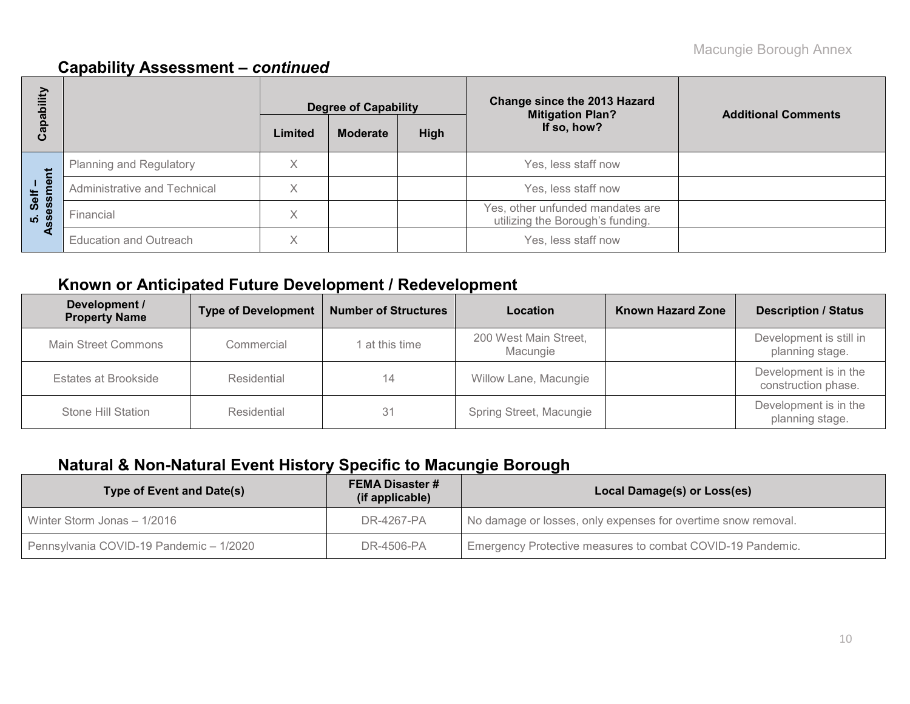| 写<br>ō                   |                               | <b>Degree of Capability</b> |                 |      | <b>Change since the 2013 Hazard</b><br><b>Mitigation Plan?</b>       | <b>Additional Comments</b> |
|--------------------------|-------------------------------|-----------------------------|-----------------|------|----------------------------------------------------------------------|----------------------------|
| ဇ္တ<br>ပိ                |                               | Limited                     | <b>Moderate</b> | High | If so, how?                                                          |                            |
|                          | Planning and Regulatory       | Χ                           |                 |      | Yes, less staff now                                                  |                            |
| nent<br>Self             | Administrative and Technical  | Χ                           |                 |      | Yes, less staff now                                                  |                            |
| ဖ္ပ<br>മ<br><u>ທ່ ທີ</u> | Financial                     | X                           |                 |      | Yes, other unfunded mandates are<br>utilizing the Borough's funding. |                            |
| ∢                        | <b>Education and Outreach</b> | $\checkmark$                |                 |      | Yes, less staff now                                                  |                            |

## **Known or Anticipated Future Development / Redevelopment**

| Development /<br><b>Property Name</b> | <b>Type of Development</b> | <b>Number of Structures</b> | Location                          | <b>Known Hazard Zone</b> | <b>Description / Status</b>                  |
|---------------------------------------|----------------------------|-----------------------------|-----------------------------------|--------------------------|----------------------------------------------|
| <b>Main Street Commons</b>            | Commercial                 | at this time                | 200 West Main Street,<br>Macungie |                          | Development is still in<br>planning stage.   |
| Estates at Brookside                  | Residential                |                             | Willow Lane, Macungie             |                          | Development is in the<br>construction phase. |
| Stone Hill Station                    | Residential                | 31                          | Spring Street, Macungie           |                          | Development is in the<br>planning stage.     |

## **Natural & Non-Natural Event History Specific to Macungie Borough**

| Type of Event and Date(s)               | <b>FEMA Disaster #</b><br>(if applicable) | Local Damage(s) or Loss(es)                                   |  |  |  |  |
|-----------------------------------------|-------------------------------------------|---------------------------------------------------------------|--|--|--|--|
| Winter Storm Jonas - 1/2016             | DR-4267-PA                                | No damage or losses, only expenses for overtime snow removal. |  |  |  |  |
| Pennsylvania COVID-19 Pandemic - 1/2020 | DR-4506-PA                                | Emergency Protective measures to combat COVID-19 Pandemic.    |  |  |  |  |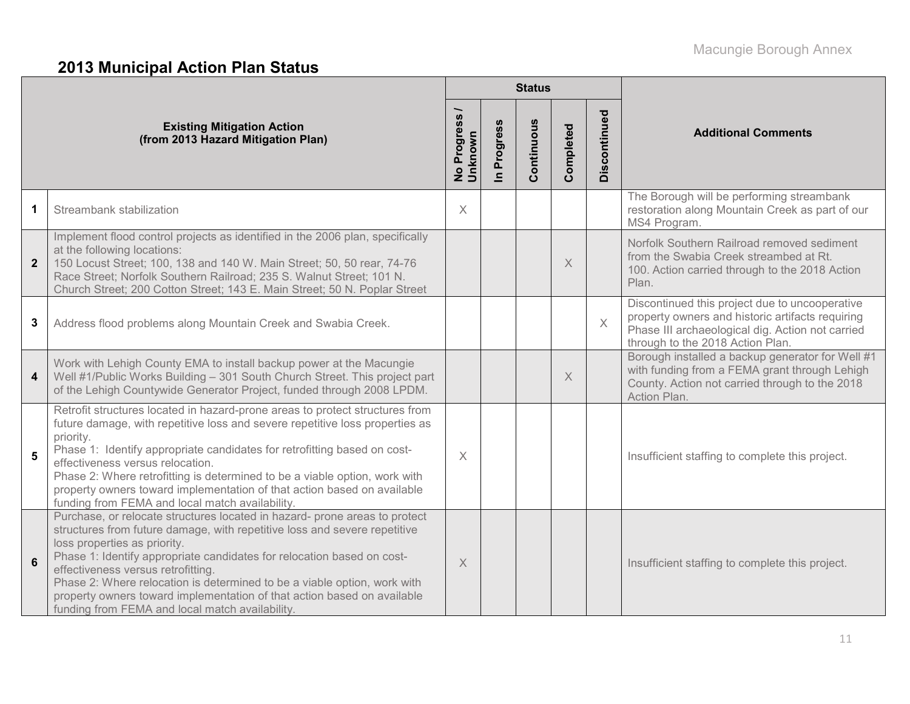# **2013 Municipal Action Plan Status**

|                         |                                                                                                                                                                                                                                                                                                                                                                                                                                                                                                                   |                          |                      | <b>Status</b> |           |                         |                                                                                                                                                                                            |  |
|-------------------------|-------------------------------------------------------------------------------------------------------------------------------------------------------------------------------------------------------------------------------------------------------------------------------------------------------------------------------------------------------------------------------------------------------------------------------------------------------------------------------------------------------------------|--------------------------|----------------------|---------------|-----------|-------------------------|--------------------------------------------------------------------------------------------------------------------------------------------------------------------------------------------|--|
|                         | <b>Existing Mitigation Action</b><br>(from 2013 Hazard Mitigation Plan)                                                                                                                                                                                                                                                                                                                                                                                                                                           | No Progress /<br>Unknown | Progress<br>$\equiv$ | Continuous    | Completed | Discontinued            | <b>Additional Comments</b>                                                                                                                                                                 |  |
| 1                       | Streambank stabilization                                                                                                                                                                                                                                                                                                                                                                                                                                                                                          | X                        |                      |               |           |                         | The Borough will be performing streambank<br>restoration along Mountain Creek as part of our<br>MS4 Program.                                                                               |  |
| $\overline{2}$          | Implement flood control projects as identified in the 2006 plan, specifically<br>at the following locations:<br>150 Locust Street; 100, 138 and 140 W. Main Street; 50, 50 rear, 74-76<br>Race Street; Norfolk Southern Railroad; 235 S. Walnut Street; 101 N.<br>Church Street; 200 Cotton Street; 143 E. Main Street; 50 N. Poplar Street                                                                                                                                                                       |                          |                      |               | $\times$  |                         | Norfolk Southern Railroad removed sediment<br>from the Swabia Creek streambed at Rt.<br>100. Action carried through to the 2018 Action<br>Plan.                                            |  |
| 3                       | Address flood problems along Mountain Creek and Swabia Creek.                                                                                                                                                                                                                                                                                                                                                                                                                                                     |                          |                      |               |           | $\overline{\mathsf{X}}$ | Discontinued this project due to uncooperative<br>property owners and historic artifacts requiring<br>Phase III archaeological dig. Action not carried<br>through to the 2018 Action Plan. |  |
| $\overline{\mathbf{4}}$ | Work with Lehigh County EMA to install backup power at the Macungie<br>Well #1/Public Works Building - 301 South Church Street. This project part<br>of the Lehigh Countywide Generator Project, funded through 2008 LPDM.                                                                                                                                                                                                                                                                                        |                          |                      |               | $\times$  |                         | Borough installed a backup generator for Well #1<br>with funding from a FEMA grant through Lehigh<br>County. Action not carried through to the 2018<br>Action Plan.                        |  |
| 5                       | Retrofit structures located in hazard-prone areas to protect structures from<br>future damage, with repetitive loss and severe repetitive loss properties as<br>priority.<br>Phase 1: Identify appropriate candidates for retrofitting based on cost-<br>effectiveness versus relocation.<br>Phase 2: Where retrofitting is determined to be a viable option, work with<br>property owners toward implementation of that action based on available<br>funding from FEMA and local match availability.             | $\times$                 |                      |               |           |                         | Insufficient staffing to complete this project.                                                                                                                                            |  |
| $6\phantom{1}$          | Purchase, or relocate structures located in hazard- prone areas to protect<br>structures from future damage, with repetitive loss and severe repetitive<br>loss properties as priority.<br>Phase 1: Identify appropriate candidates for relocation based on cost-<br>effectiveness versus retrofitting.<br>Phase 2: Where relocation is determined to be a viable option, work with<br>property owners toward implementation of that action based on available<br>funding from FEMA and local match availability. | $\times$                 |                      |               |           |                         | Insufficient staffing to complete this project.                                                                                                                                            |  |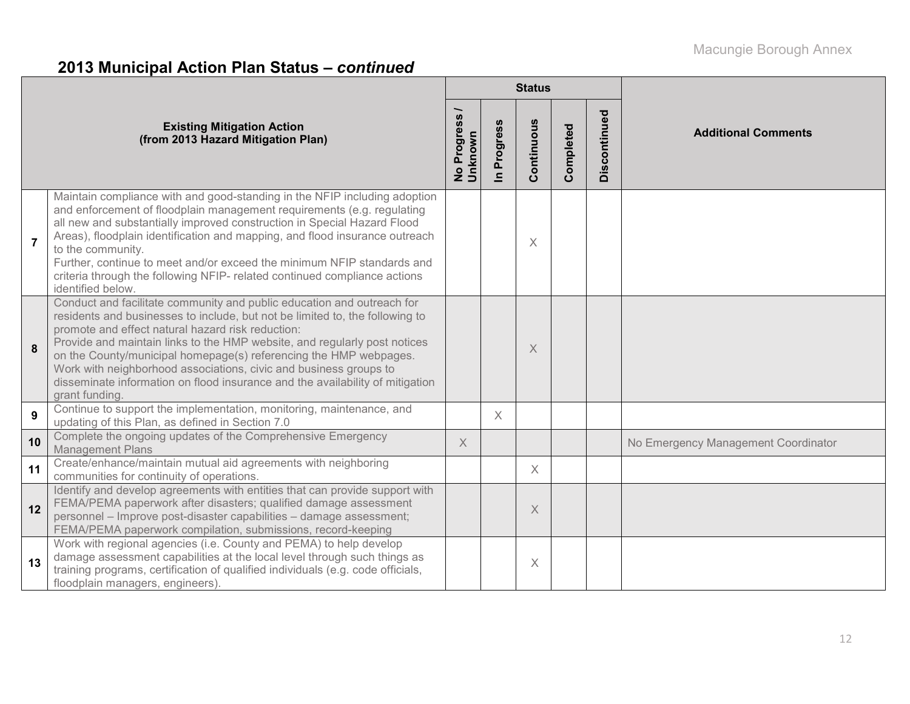# **2013 Municipal Action Plan Status –** *continued*

|                |                                                                                                                                                                                                                                                                                                                                                                                                                                                                                                                                       |                          |                          | <b>Status</b> |           |              |                                     |
|----------------|---------------------------------------------------------------------------------------------------------------------------------------------------------------------------------------------------------------------------------------------------------------------------------------------------------------------------------------------------------------------------------------------------------------------------------------------------------------------------------------------------------------------------------------|--------------------------|--------------------------|---------------|-----------|--------------|-------------------------------------|
|                | <b>Existing Mitigation Action</b><br>(from 2013 Hazard Mitigation Plan)                                                                                                                                                                                                                                                                                                                                                                                                                                                               | No Progress /<br>Unknown | Progress<br>$\mathbf{a}$ | Continuous    | Completed | Discontinued | <b>Additional Comments</b>          |
| $\overline{7}$ | Maintain compliance with and good-standing in the NFIP including adoption<br>and enforcement of floodplain management requirements (e.g. regulating<br>all new and substantially improved construction in Special Hazard Flood<br>Areas), floodplain identification and mapping, and flood insurance outreach<br>to the community.<br>Further, continue to meet and/or exceed the minimum NFIP standards and<br>criteria through the following NFIP- related continued compliance actions<br>identified below.                        |                          |                          | $\times$      |           |              |                                     |
| 8              | Conduct and facilitate community and public education and outreach for<br>residents and businesses to include, but not be limited to, the following to<br>promote and effect natural hazard risk reduction:<br>Provide and maintain links to the HMP website, and regularly post notices<br>on the County/municipal homepage(s) referencing the HMP webpages.<br>Work with neighborhood associations, civic and business groups to<br>disseminate information on flood insurance and the availability of mitigation<br>grant funding. |                          |                          | X             |           |              |                                     |
| 9              | Continue to support the implementation, monitoring, maintenance, and<br>updating of this Plan, as defined in Section 7.0                                                                                                                                                                                                                                                                                                                                                                                                              |                          | $\times$                 |               |           |              |                                     |
| 10             | Complete the ongoing updates of the Comprehensive Emergency<br><b>Management Plans</b>                                                                                                                                                                                                                                                                                                                                                                                                                                                | $\times$                 |                          |               |           |              | No Emergency Management Coordinator |
| 11             | Create/enhance/maintain mutual aid agreements with neighboring<br>communities for continuity of operations.                                                                                                                                                                                                                                                                                                                                                                                                                           |                          |                          | X             |           |              |                                     |
| 12             | Identify and develop agreements with entities that can provide support with<br>FEMA/PEMA paperwork after disasters; qualified damage assessment<br>personnel - Improve post-disaster capabilities - damage assessment;<br>FEMA/PEMA paperwork compilation, submissions, record-keeping                                                                                                                                                                                                                                                |                          |                          | X             |           |              |                                     |
| 13             | Work with regional agencies (i.e. County and PEMA) to help develop<br>damage assessment capabilities at the local level through such things as<br>training programs, certification of qualified individuals (e.g. code officials,<br>floodplain managers, engineers)                                                                                                                                                                                                                                                                  |                          |                          | X             |           |              |                                     |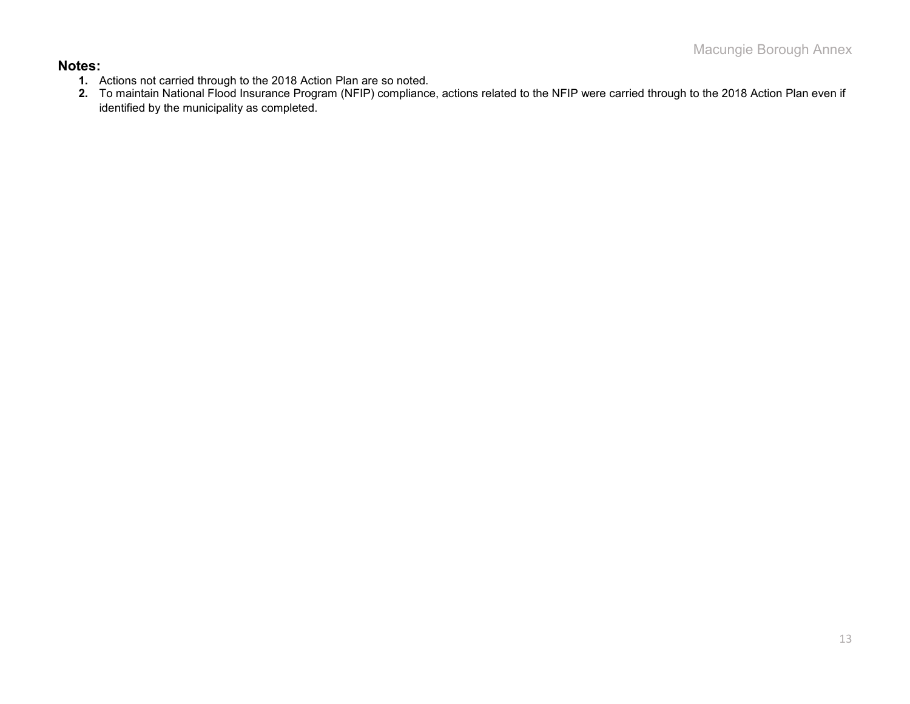#### **Notes:**

- **1.** Actions not carried through to the 2018 Action Plan are so noted.
- **2.** To maintain National Flood Insurance Program (NFIP) compliance, actions related to the NFIP were carried through to the 2018 Action Plan even if identified by the municipality as completed.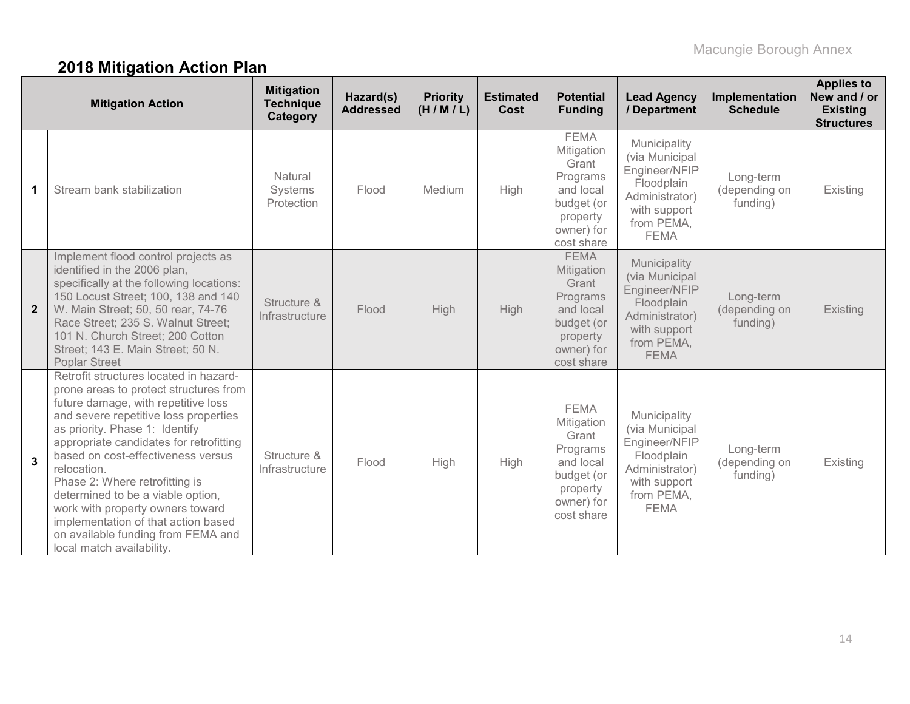# **2018 Mitigation Action Plan**

|                | <b>Mitigation Action</b>                                                                                                                                                                                                                                                                                                                                                                                                                                                                                                | <b>Mitigation</b><br><b>Technique</b><br>Category | Hazard(s)<br><b>Addressed</b> | <b>Priority</b><br>(H/M/L) | <b>Estimated</b><br><b>Cost</b> | <b>Potential</b><br><b>Funding</b>                                                                                | <b>Lead Agency</b><br>/ Department                                                                                           | Implementation<br><b>Schedule</b>      | <b>Applies to</b><br>New and / or<br><b>Existing</b><br><b>Structures</b> |
|----------------|-------------------------------------------------------------------------------------------------------------------------------------------------------------------------------------------------------------------------------------------------------------------------------------------------------------------------------------------------------------------------------------------------------------------------------------------------------------------------------------------------------------------------|---------------------------------------------------|-------------------------------|----------------------------|---------------------------------|-------------------------------------------------------------------------------------------------------------------|------------------------------------------------------------------------------------------------------------------------------|----------------------------------------|---------------------------------------------------------------------------|
| 1.             | Stream bank stabilization                                                                                                                                                                                                                                                                                                                                                                                                                                                                                               | Natural<br>Systems<br>Protection                  | Flood                         | Medium                     | High                            | <b>FEMA</b><br>Mitigation<br>Grant<br>Programs<br>and local<br>budget (or<br>property<br>owner) for<br>cost share | Municipality<br>(via Municipal<br>Engineer/NFIP<br>Floodplain<br>Administrator)<br>with support<br>from PEMA,<br><b>FEMA</b> | Long-term<br>(depending on<br>funding) | Existing                                                                  |
| $\overline{2}$ | Implement flood control projects as<br>identified in the 2006 plan,<br>specifically at the following locations:<br>150 Locust Street; 100, 138 and 140<br>W. Main Street; 50, 50 rear, 74-76<br>Race Street; 235 S. Walnut Street;<br>101 N. Church Street; 200 Cotton<br>Street; 143 E. Main Street; 50 N.<br><b>Poplar Street</b>                                                                                                                                                                                     | Structure &<br>Infrastructure                     | Flood                         | High                       | <b>High</b>                     | <b>FEMA</b><br>Mitigation<br>Grant<br>Programs<br>and local<br>budget (or<br>property<br>owner) for<br>cost share | Municipality<br>(via Municipal<br>Engineer/NFIP<br>Floodplain<br>Administrator)<br>with support<br>from PEMA,<br><b>FEMA</b> | Long-term<br>(depending on<br>funding) | Existing                                                                  |
| $\mathbf{3}$   | Retrofit structures located in hazard-<br>prone areas to protect structures from<br>future damage, with repetitive loss<br>and severe repetitive loss properties<br>as priority. Phase 1: Identify<br>appropriate candidates for retrofitting<br>based on cost-effectiveness versus<br>relocation.<br>Phase 2: Where retrofitting is<br>determined to be a viable option,<br>work with property owners toward<br>implementation of that action based<br>on available funding from FEMA and<br>local match availability. | Structure &<br>Infrastructure                     | Flood                         | High                       | High                            | <b>FEMA</b><br>Mitigation<br>Grant<br>Programs<br>and local<br>budget (or<br>property<br>owner) for<br>cost share | Municipality<br>(via Municipal<br>Engineer/NFIP<br>Floodplain<br>Administrator)<br>with support<br>from PEMA,<br><b>FEMA</b> | Long-term<br>(depending on<br>funding) | Existing                                                                  |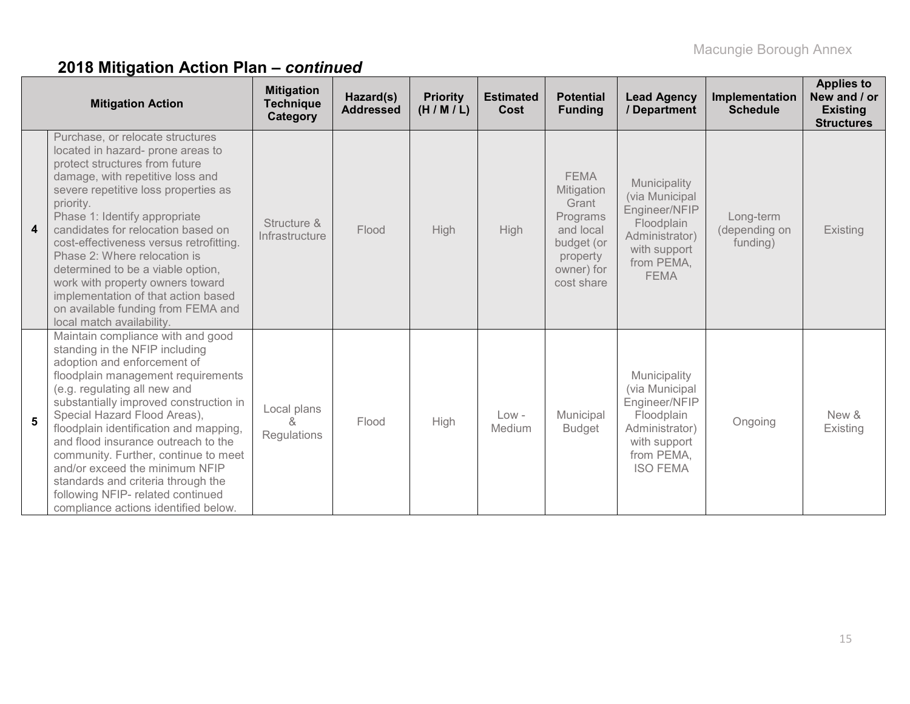# **2018 Mitigation Action Plan –** *continued*

|                  | <b>Mitigation Action</b>                                                                                                                                                                                                                                                                                                                                                                                                                                                                                                              | <b>Mitigation</b><br><b>Technique</b><br>Category | Hazard(s)<br><b>Addressed</b> | <b>Priority</b><br>(H/M/L) | <b>Estimated</b><br>Cost | <b>Potential</b><br><b>Funding</b>                                                                                | <b>Lead Agency</b><br>/ Department                                                                                               | Implementation<br><b>Schedule</b>      | <b>Applies to</b><br>New and / or<br><b>Existing</b><br><b>Structures</b> |
|------------------|---------------------------------------------------------------------------------------------------------------------------------------------------------------------------------------------------------------------------------------------------------------------------------------------------------------------------------------------------------------------------------------------------------------------------------------------------------------------------------------------------------------------------------------|---------------------------------------------------|-------------------------------|----------------------------|--------------------------|-------------------------------------------------------------------------------------------------------------------|----------------------------------------------------------------------------------------------------------------------------------|----------------------------------------|---------------------------------------------------------------------------|
| $\boldsymbol{4}$ | Purchase, or relocate structures<br>located in hazard- prone areas to<br>protect structures from future<br>damage, with repetitive loss and<br>severe repetitive loss properties as<br>priority.<br>Phase 1: Identify appropriate<br>candidates for relocation based on<br>cost-effectiveness versus retrofitting.<br>Phase 2: Where relocation is<br>determined to be a viable option,<br>work with property owners toward<br>implementation of that action based<br>on available funding from FEMA and<br>local match availability. | Structure &<br>Infrastructure                     | Flood                         | High                       | High                     | <b>FEMA</b><br>Mitigation<br>Grant<br>Programs<br>and local<br>budget (or<br>property<br>owner) for<br>cost share | Municipality<br>(via Municipal<br>Engineer/NFIP<br>Floodplain<br>Administrator)<br>with support<br>from PEMA,<br><b>FEMA</b>     | Long-term<br>(depending on<br>funding) | Existing                                                                  |
| $5\phantom{.0}$  | Maintain compliance with and good<br>standing in the NFIP including<br>adoption and enforcement of<br>floodplain management requirements<br>(e.g. regulating all new and<br>substantially improved construction in<br>Special Hazard Flood Areas),<br>floodplain identification and mapping,<br>and flood insurance outreach to the<br>community. Further, continue to meet<br>and/or exceed the minimum NFIP<br>standards and criteria through the<br>following NFIP- related continued<br>compliance actions identified below.      | Local plans<br>&<br>Regulations                   | Flood                         | High                       | $Low -$<br>Medium        | Municipal<br><b>Budget</b>                                                                                        | Municipality<br>(via Municipal<br>Engineer/NFIP<br>Floodplain<br>Administrator)<br>with support<br>from PEMA,<br><b>ISO FEMA</b> | Ongoing                                | New &<br>Existing                                                         |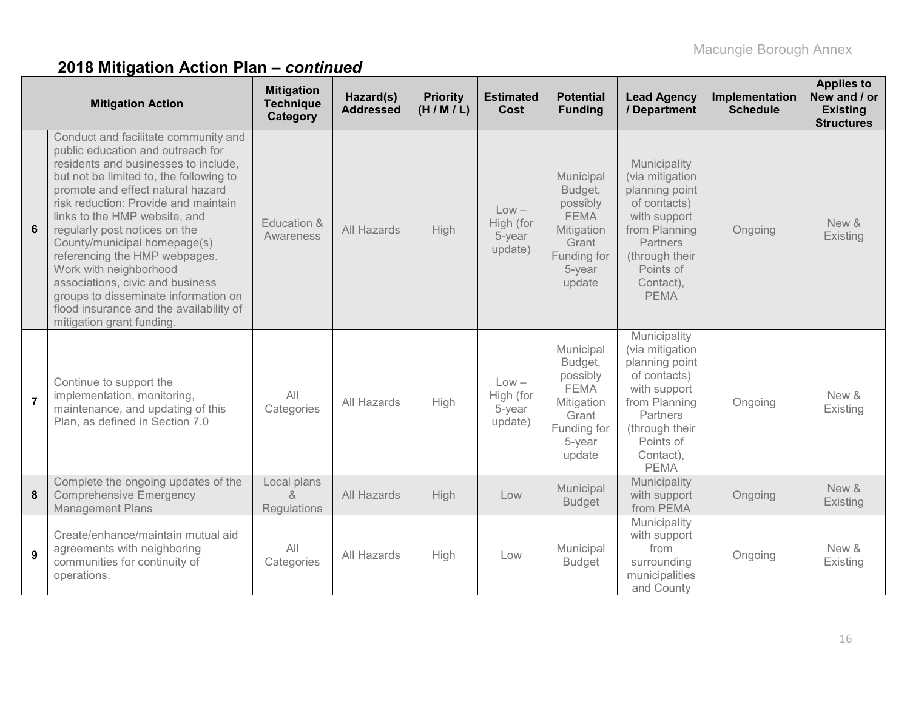# **2018 Mitigation Action Plan –** *continued*

|                | <b>Mitigation Action</b>                                                                                                                                                                                                                                                                                                                                                                                                                                                                                                                                   | <b>Mitigation</b><br><b>Technique</b><br>Category | Hazard(s)<br><b>Addressed</b> | <b>Priority</b><br>(H/M/L) | <b>Estimated</b><br>Cost                  | <b>Potential</b><br><b>Funding</b>                                                                        | <b>Lead Agency</b><br>/ Department                                                                                                                                               | Implementation<br><b>Schedule</b> | <b>Applies to</b><br>New and / or<br><b>Existing</b><br><b>Structures</b> |
|----------------|------------------------------------------------------------------------------------------------------------------------------------------------------------------------------------------------------------------------------------------------------------------------------------------------------------------------------------------------------------------------------------------------------------------------------------------------------------------------------------------------------------------------------------------------------------|---------------------------------------------------|-------------------------------|----------------------------|-------------------------------------------|-----------------------------------------------------------------------------------------------------------|----------------------------------------------------------------------------------------------------------------------------------------------------------------------------------|-----------------------------------|---------------------------------------------------------------------------|
| 6              | Conduct and facilitate community and<br>public education and outreach for<br>residents and businesses to include,<br>but not be limited to, the following to<br>promote and effect natural hazard<br>risk reduction: Provide and maintain<br>links to the HMP website, and<br>regularly post notices on the<br>County/municipal homepage(s)<br>referencing the HMP webpages.<br>Work with neighborhood<br>associations, civic and business<br>groups to disseminate information on<br>flood insurance and the availability of<br>mitigation grant funding. | Education &<br>Awareness                          | All Hazards                   | High                       | $Low -$<br>High (for<br>5-year<br>update) | Municipal<br>Budget,<br>possibly<br><b>FEMA</b><br>Mitigation<br>Grant<br>Funding for<br>5-year<br>update | Municipality<br>(via mitigation<br>planning point<br>of contacts)<br>with support<br>from Planning<br><b>Partners</b><br>(through their<br>Points of<br>Contact),<br><b>PEMA</b> | Ongoing                           | New &<br>Existing                                                         |
| $\overline{7}$ | Continue to support the<br>implementation, monitoring,<br>maintenance, and updating of this<br>Plan, as defined in Section 7.0                                                                                                                                                                                                                                                                                                                                                                                                                             | All<br>Categories                                 | All Hazards                   | High                       | $Low -$<br>High (for<br>5-year<br>update) | Municipal<br>Budget,<br>possibly<br><b>FEMA</b><br>Mitigation<br>Grant<br>Funding for<br>5-year<br>update | Municipality<br>(via mitigation<br>planning point<br>of contacts)<br>with support<br>from Planning<br>Partners<br>(through their<br>Points of<br>Contact),<br><b>PEMA</b>        | Ongoing                           | New &<br>Existing                                                         |
| 8              | Complete the ongoing updates of the<br><b>Comprehensive Emergency</b><br><b>Management Plans</b>                                                                                                                                                                                                                                                                                                                                                                                                                                                           | Local plans<br>$\alpha$<br>Regulations            | All Hazards                   | <b>High</b>                | Low                                       | Municipal<br><b>Budget</b>                                                                                | Municipality<br>with support<br>from PEMA                                                                                                                                        | Ongoing                           | New &<br>Existing                                                         |
| 9              | Create/enhance/maintain mutual aid<br>agreements with neighboring<br>communities for continuity of<br>operations.                                                                                                                                                                                                                                                                                                                                                                                                                                          | All<br>Categories                                 | All Hazards                   | High                       | Low                                       | Municipal<br><b>Budget</b>                                                                                | Municipality<br>with support<br>from<br>surrounding<br>municipalities<br>and County                                                                                              | Ongoing                           | New &<br>Existing                                                         |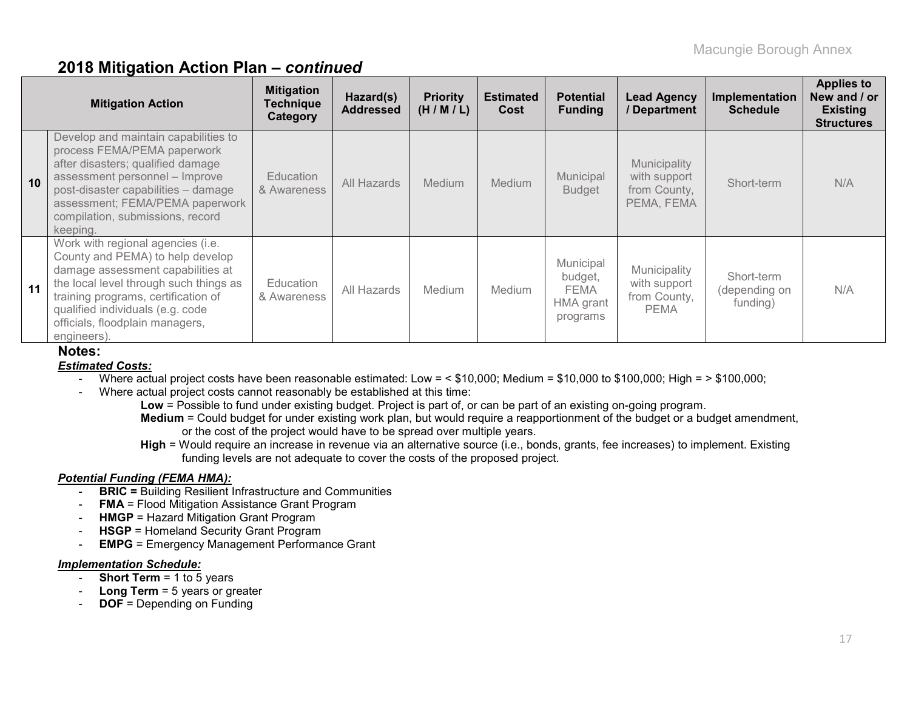### **2018 Mitigation Action Plan –** *continued*

|    | <b>Mitigation Action</b>                                                                                                                                                                                                                                                          | <b>Mitigation</b><br><b>Technique</b><br>Category | Hazard(s)<br><b>Addressed</b> | <b>Priority</b><br>(H/M/L) | <b>Estimated</b><br>Cost | <b>Potential</b><br><b>Funding</b>                           | <b>Lead Agency</b><br>/ Department                          | Implementation<br><b>Schedule</b>       | <b>Applies to</b><br>New and / or<br><b>Existing</b><br><b>Structures</b> |
|----|-----------------------------------------------------------------------------------------------------------------------------------------------------------------------------------------------------------------------------------------------------------------------------------|---------------------------------------------------|-------------------------------|----------------------------|--------------------------|--------------------------------------------------------------|-------------------------------------------------------------|-----------------------------------------|---------------------------------------------------------------------------|
| 10 | Develop and maintain capabilities to<br>process FEMA/PEMA paperwork<br>after disasters; qualified damage<br>assessment personnel - Improve<br>post-disaster capabilities - damage<br>assessment; FEMA/PEMA paperwork<br>compilation, submissions, record<br>keeping.              | <b>Education</b><br>& Awareness                   | All Hazards                   | <b>Medium</b>              | Medium                   | Municipal<br><b>Budget</b>                                   | Municipality<br>with support<br>from County,<br>PEMA, FEMA  | Short-term                              | N/A                                                                       |
| 11 | Work with regional agencies (i.e.<br>County and PEMA) to help develop<br>damage assessment capabilities at<br>the local level through such things as<br>training programs, certification of<br>qualified individuals (e.g. code<br>officials, floodplain managers,<br>engineers). | Education<br>& Awareness                          | All Hazards                   | <b>Medium</b>              | <b>Medium</b>            | Municipal<br>budget,<br><b>FEMA</b><br>HMA grant<br>programs | Municipality<br>with support<br>from County,<br><b>PEMA</b> | Short-term<br>(depending on<br>funding) | N/A                                                                       |

#### **Notes:**

#### *Estimated Costs:*

- Where actual project costs have been reasonable estimated: Low = < \$10,000; Medium = \$10,000 to \$100,000; High = > \$100,000;
- Where actual project costs cannot reasonably be established at this time:
	- **Low** = Possible to fund under existing budget. Project is part of, or can be part of an existing on-going program. **Medium** = Could budget for under existing work plan, but would require a reapportionment of the budget or a budget amendment, or the cost of the project would have to be spread over multiple years.
	- **High** = Would require an increase in revenue via an alternative source (i.e., bonds, grants, fee increases) to implement. Existing funding levels are not adequate to cover the costs of the proposed project.

#### *Potential Funding (FEMA HMA):*

- **BRIC =** Building Resilient Infrastructure and Communities
- **FMA** = Flood Mitigation Assistance Grant Program
- **HMGP** = Hazard Mitigation Grant Program
- **HSGP** = Homeland Security Grant Program
- **EMPG** = Emergency Management Performance Grant

#### *Implementation Schedule:*

- **Short Term** = 1 to 5 years
- **Long Term** = 5 years or greater
- **DOF** = Depending on Funding